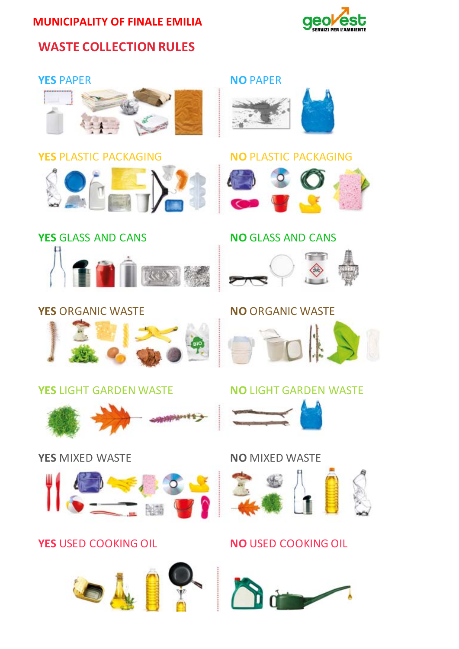# **MUNICIPALITY OF FINALE EMILIA**



# **WASTE COLLECTION RULES**





### **YES** PAPER **NO** PAPER







**First** 

### **YES** GLASS AND CANS  **NO** GLASS AND CANS



## **YES** ORGANIC WASTE  **NO** ORGANIC WASTE



## **YES** LIGHT GARDEN WASTE  **NO** LIGHT GARDEN WASTE



## **YES** MIXED WASTE  **NO** MIXED WASTE



## **YES** USED COOKING OIL **NO** USED COOKING OIL





**REA**